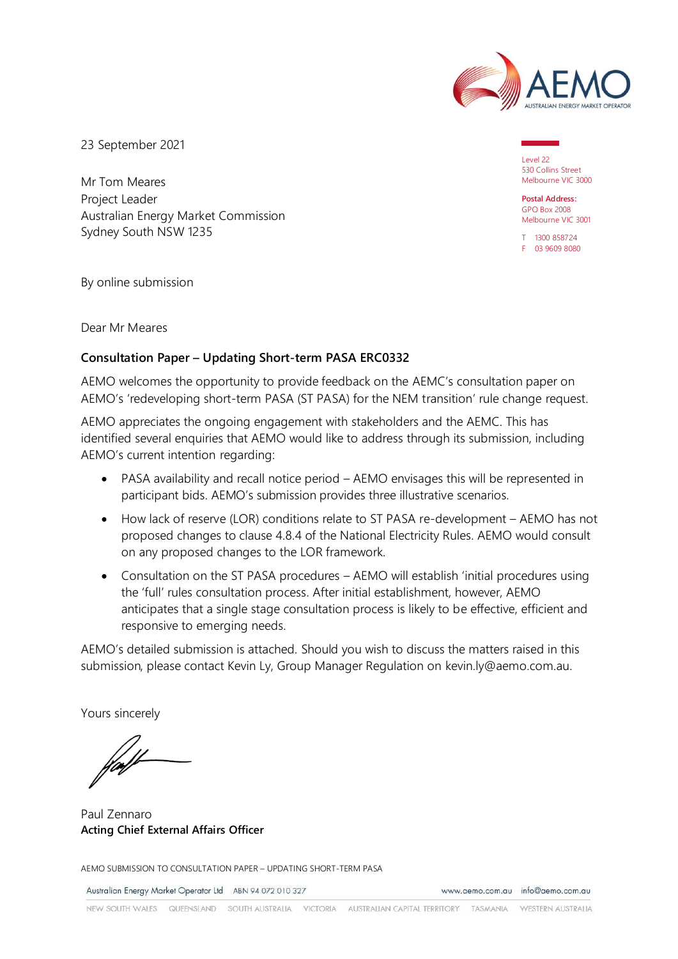

23 September 2021

Mr Tom Meares Project Leader Australian Energy Market Commission Sydney South NSW 1235

Level 22 530 Collins Street Melbourne VIC 3000

**Postal Address:** GPO Box 2008 Melbourne VIC 3001

T 1300 858724 F 03 9609 8080

By online submission

Dear Mr Meares

## **Consultation Paper – Updating Short-term PASA ERC0332**

AEMO welcomes the opportunity to provide feedback on the AEMC's consultation paper on AEMO's 'redeveloping short-term PASA (ST PASA) for the NEM transition' rule change request.

AEMO appreciates the ongoing engagement with stakeholders and the AEMC. This has identified several enquiries that AEMO would like to address through its submission, including AEMO's current intention regarding:

- PASA availability and recall notice period AEMO envisages this will be represented in participant bids. AEMO's submission provides three illustrative scenarios.
- How lack of reserve (LOR) conditions relate to ST PASA re-development AEMO has not proposed changes to clause 4.8.4 of the National Electricity Rules. AEMO would consult on any proposed changes to the LOR framework.
- Consultation on the ST PASA procedures AEMO will establish 'initial procedures using the 'full' rules consultation process. After initial establishment, however, AEMO anticipates that a single stage consultation process is likely to be effective, efficient and responsive to emerging needs.

AEMO's detailed submission is attached. Should you wish to discuss the matters raised in this submission, please contact Kevin Ly, Group Manager Regulation on [kevin.ly@aemo.com.au.](mailto:kevin.ly@aemo.com.au)

Yours sincerely

Paul Zennaro **Acting Chief External Affairs Officer**

AEMO SUBMISSION TO CONSULTATION PAPER – UPDATING SHORT-TERM PASA

Australian Energy Market Operator Ltd ABN 94 072 010 327

www.aemo.com.au info@aemo.com.au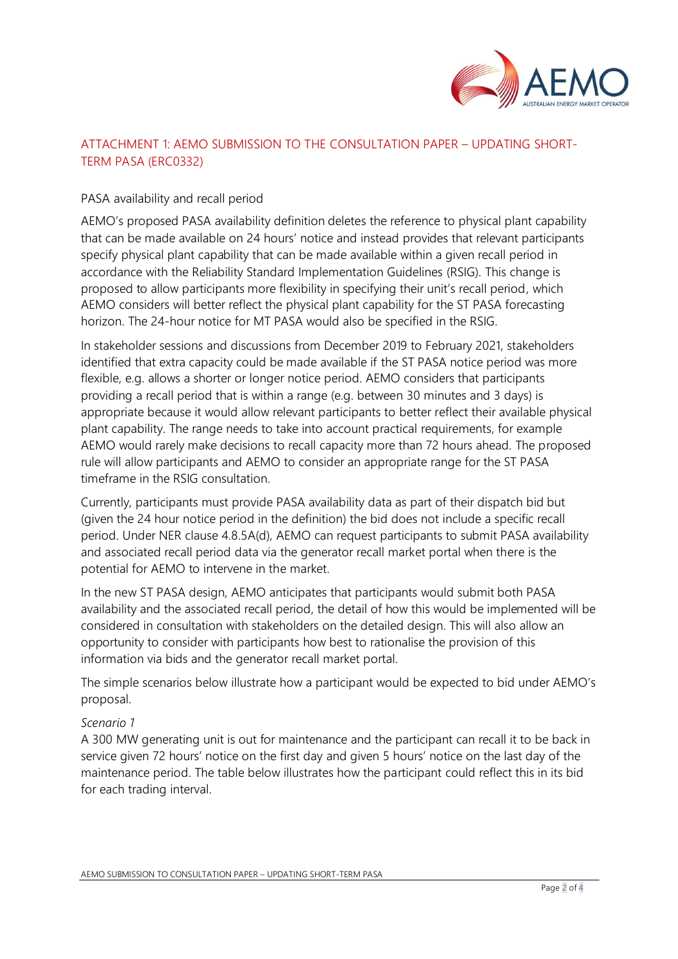

# ATTACHMENT 1: AEMO SUBMISSION TO THE CONSULTATION PAPER – UPDATING SHORT-TERM PASA (ERC0332)

## PASA availability and recall period

AEMO's proposed PASA availability definition deletes the reference to physical plant capability that can be made available on 24 hours' notice and instead provides that relevant participants specify physical plant capability that can be made available within a given recall period in accordance with the Reliability Standard Implementation Guidelines (RSIG). This change is proposed to allow participants more flexibility in specifying their unit's recall period, which AEMO considers will better reflect the physical plant capability for the ST PASA forecasting horizon. The 24-hour notice for MT PASA would also be specified in the RSIG.

In stakeholder sessions and discussions from December 2019 to February 2021, stakeholders identified that extra capacity could be made available if the ST PASA notice period was more flexible, e.g. allows a shorter or longer notice period. AEMO considers that participants providing a recall period that is within a range (e.g. between 30 minutes and 3 days) is appropriate because it would allow relevant participants to better reflect their available physical plant capability. The range needs to take into account practical requirements, for example AEMO would rarely make decisions to recall capacity more than 72 hours ahead. The proposed rule will allow participants and AEMO to consider an appropriate range for the ST PASA timeframe in the RSIG consultation.

Currently, participants must provide PASA availability data as part of their dispatch bid but (given the 24 hour notice period in the definition) the bid does not include a specific recall period. Under NER clause 4.8.5A(d), AEMO can request participants to submit PASA availability and associated recall period data via the generator recall market portal when there is the potential for AEMO to intervene in the market.

In the new ST PASA design, AEMO anticipates that participants would submit both PASA availability and the associated recall period, the detail of how this would be implemented will be considered in consultation with stakeholders on the detailed design. This will also allow an opportunity to consider with participants how best to rationalise the provision of this information via bids and the generator recall market portal.

The simple scenarios below illustrate how a participant would be expected to bid under AEMO's proposal.

### *Scenario 1*

A 300 MW generating unit is out for maintenance and the participant can recall it to be back in service given 72 hours' notice on the first day and given 5 hours' notice on the last day of the maintenance period. The table below illustrates how the participant could reflect this in its bid for each trading interval.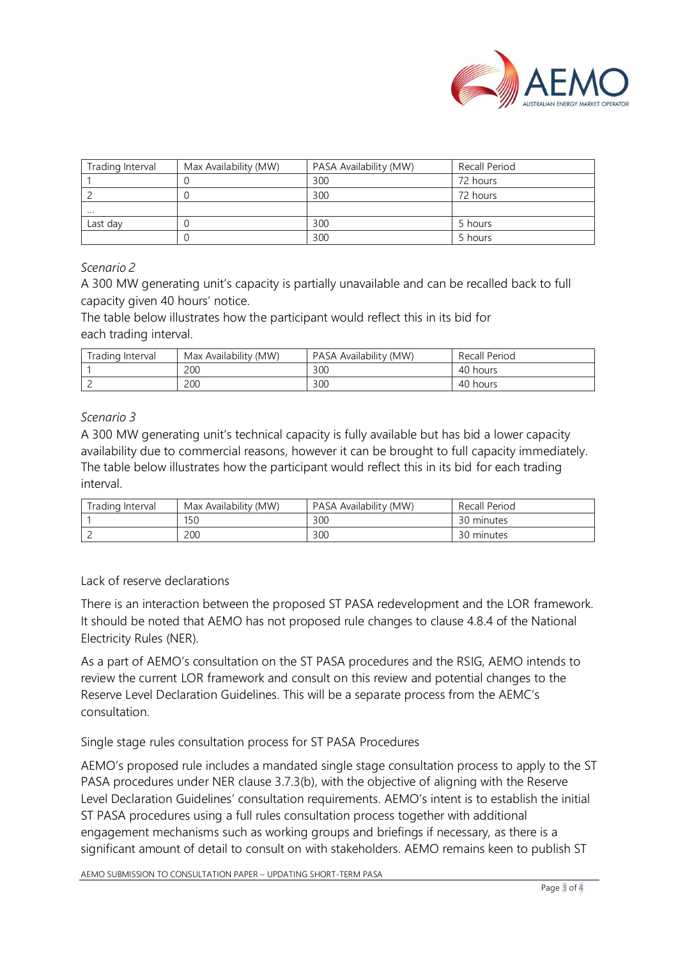

| Trading Interval | Max Availability (MW) | PASA Availability (MW) | Recall Period |
|------------------|-----------------------|------------------------|---------------|
|                  |                       | 300                    | 72 hours      |
|                  |                       | 300                    | 72 hours      |
| $\cdots$         |                       |                        |               |
| Last day         |                       | 300                    | 5 hours       |
|                  |                       | 300                    | 5 hours       |

### *Scenario 2*

A 300 MW generating unit's capacity is partially unavailable and can be recalled back to full capacity given 40 hours' notice.

The table below illustrates how the participant would reflect this in its bid for each trading interval.

| Trading Interval | Max Availability (MW) | PASA Availability (MW) | Recall Period |
|------------------|-----------------------|------------------------|---------------|
|                  | 200                   | 300                    | 40 hours      |
|                  | 200                   | 300                    | 40 hours      |

## *Scenario 3*

A 300 MW generating unit's technical capacity is fully available but has bid a lower capacity availability due to commercial reasons, however it can be brought to full capacity immediately. The table below illustrates how the participant would reflect this in its bid for each trading interval.

| Trading Interval | Max Availability (MW) | PASA Availability (MW) | Recall Period |
|------------------|-----------------------|------------------------|---------------|
|                  | 150                   | 300                    | 30 minutes    |
|                  | 200                   | 300                    | 30 minutes    |

### Lack of reserve declarations

There is an interaction between the proposed ST PASA redevelopment and the LOR framework. It should be noted that AEMO has not proposed rule changes to clause 4.8.4 of the National Electricity Rules (NER).

As a part of AEMO's consultation on the ST PASA procedures and the RSIG, AEMO intends to review the current LOR framework and consult on this review and potential changes to the Reserve Level Declaration Guidelines. This will be a separate process from the AEMC's consultation.

Single stage rules consultation process for ST PASA Procedures

AEMO's proposed rule includes a mandated single stage consultation process to apply to the ST PASA procedures under NER clause 3.7.3(b), with the objective of aligning with the Reserve Level Declaration Guidelines' consultation requirements. AEMO's intent is to establish the initial ST PASA procedures using a full rules consultation process together with additional engagement mechanisms such as working groups and briefings if necessary, as there is a significant amount of detail to consult on with stakeholders. AEMO remains keen to publish ST